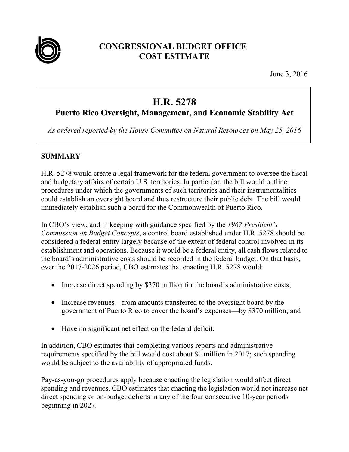

# **CONGRESSIONAL BUDGET OFFICE COST ESTIMATE**

June 3, 2016

# **H.R. 5278**

# **Puerto Rico Oversight, Management, and Economic Stability Act**

*As ordered reported by the House Committee on Natural Resources on May 25, 2016* 

### **SUMMARY**

H.R. 5278 would create a legal framework for the federal government to oversee the fiscal and budgetary affairs of certain U.S. territories. In particular, the bill would outline procedures under which the governments of such territories and their instrumentalities could establish an oversight board and thus restructure their public debt. The bill would immediately establish such a board for the Commonwealth of Puerto Rico.

In CBO's view, and in keeping with guidance specified by the *1967 President's Commission on Budget Concepts*, a control board established under H.R. 5278 should be considered a federal entity largely because of the extent of federal control involved in its establishment and operations. Because it would be a federal entity, all cash flows related to the board's administrative costs should be recorded in the federal budget. On that basis, over the 2017-2026 period, CBO estimates that enacting H.R. 5278 would:

- Increase direct spending by \$370 million for the board's administrative costs;
- Increase revenues—from amounts transferred to the oversight board by the government of Puerto Rico to cover the board's expenses—by \$370 million; and
- Have no significant net effect on the federal deficit.

In addition, CBO estimates that completing various reports and administrative requirements specified by the bill would cost about \$1 million in 2017; such spending would be subject to the availability of appropriated funds.

Pay-as-you-go procedures apply because enacting the legislation would affect direct spending and revenues. CBO estimates that enacting the legislation would not increase net direct spending or on-budget deficits in any of the four consecutive 10-year periods beginning in 2027.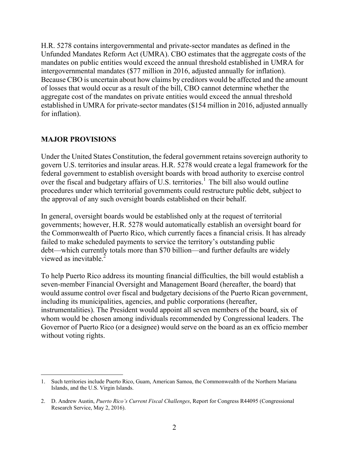H.R. 5278 contains intergovernmental and private-sector mandates as defined in the Unfunded Mandates Reform Act (UMRA). CBO estimates that the aggregate costs of the mandates on public entities would exceed the annual threshold established in UMRA for intergovernmental mandates (\$77 million in 2016, adjusted annually for inflation). Because CBO is uncertain about how claims by creditors would be affected and the amount of losses that would occur as a result of the bill, CBO cannot determine whether the aggregate cost of the mandates on private entities would exceed the annual threshold established in UMRA for private-sector mandates (\$154 million in 2016, adjusted annually for inflation).

#### **MAJOR PROVISIONS**

Under the United States Constitution, the federal government retains sovereign authority to govern U.S. territories and insular areas. H.R. 5278 would create a legal framework for the federal government to establish oversight boards with broad authority to exercise control over the fiscal and budgetary affairs of U.S. territories.<sup>1</sup> The bill also would outline procedures under which territorial governments could restructure public debt, subject to the approval of any such oversight boards established on their behalf.

In general, oversight boards would be established only at the request of territorial governments; however, H.R. 5278 would automatically establish an oversight board for the Commonwealth of Puerto Rico, which currently faces a financial crisis. It has already failed to make scheduled payments to service the territory's outstanding public debt—which currently totals more than \$70 billion—and further defaults are widely viewed as inevitable  $<sup>2</sup>$ </sup>

To help Puerto Rico address its mounting financial difficulties, the bill would establish a seven-member Financial Oversight and Management Board (hereafter, the board) that would assume control over fiscal and budgetary decisions of the Puerto Rican government, including its municipalities, agencies, and public corporations (hereafter, instrumentalities). The President would appoint all seven members of the board, six of whom would be chosen among individuals recommended by Congressional leaders. The Governor of Puerto Rico (or a designee) would serve on the board as an ex officio member without voting rights.

 $\overline{a}$ 1. Such territories include Puerto Rico, Guam, American Samoa, the Commonwealth of the Northern Mariana Islands, and the U.S. Virgin Islands.

<sup>2.</sup> D. Andrew Austin, *Puerto Rico's Current Fiscal Challenges*, Report for Congress R44095 (Congressional Research Service, May 2, 2016).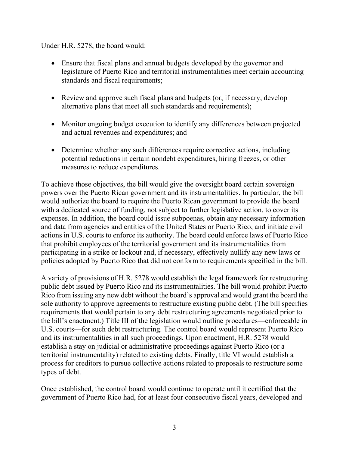#### Under H.R. 5278, the board would:

- Ensure that fiscal plans and annual budgets developed by the governor and legislature of Puerto Rico and territorial instrumentalities meet certain accounting standards and fiscal requirements;
- Review and approve such fiscal plans and budgets (or, if necessary, develop alternative plans that meet all such standards and requirements);
- Monitor ongoing budget execution to identify any differences between projected and actual revenues and expenditures; and
- Determine whether any such differences require corrective actions, including potential reductions in certain nondebt expenditures, hiring freezes, or other measures to reduce expenditures.

To achieve those objectives, the bill would give the oversight board certain sovereign powers over the Puerto Rican government and its instrumentalities. In particular, the bill would authorize the board to require the Puerto Rican government to provide the board with a dedicated source of funding, not subject to further legislative action, to cover its expenses. In addition, the board could issue subpoenas, obtain any necessary information and data from agencies and entities of the United States or Puerto Rico, and initiate civil actions in U.S. courts to enforce its authority. The board could enforce laws of Puerto Rico that prohibit employees of the territorial government and its instrumentalities from participating in a strike or lockout and, if necessary, effectively nullify any new laws or policies adopted by Puerto Rico that did not conform to requirements specified in the bill.

A variety of provisions of H.R. 5278 would establish the legal framework for restructuring public debt issued by Puerto Rico and its instrumentalities. The bill would prohibit Puerto Rico from issuing any new debt without the board's approval and would grant the board the sole authority to approve agreements to restructure existing public debt. (The bill specifies requirements that would pertain to any debt restructuring agreements negotiated prior to the bill's enactment.) Title III of the legislation would outline procedures—enforceable in U.S. courts—for such debt restructuring. The control board would represent Puerto Rico and its instrumentalities in all such proceedings. Upon enactment, H.R. 5278 would establish a stay on judicial or administrative proceedings against Puerto Rico (or a territorial instrumentality) related to existing debts. Finally, title VI would establish a process for creditors to pursue collective actions related to proposals to restructure some types of debt.

Once established, the control board would continue to operate until it certified that the government of Puerto Rico had, for at least four consecutive fiscal years, developed and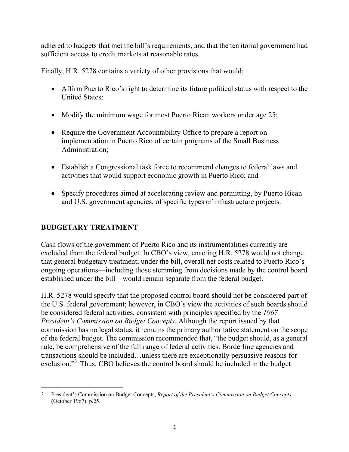adhered to budgets that met the bill's requirements, and that the territorial government had sufficient access to credit markets at reasonable rates.

Finally, H.R. 5278 contains a variety of other provisions that would:

- Affirm Puerto Rico's right to determine its future political status with respect to the United States;
- Modify the minimum wage for most Puerto Rican workers under age 25;
- Require the Government Accountability Office to prepare a report on implementation in Puerto Rico of certain programs of the Small Business Administration;
- Establish a Congressional task force to recommend changes to federal laws and activities that would support economic growth in Puerto Rico; and
- Specify procedures aimed at accelerating review and permitting, by Puerto Rican and U.S. government agencies, of specific types of infrastructure projects.

## **BUDGETARY TREATMENT**

Cash flows of the government of Puerto Rico and its instrumentalities currently are excluded from the federal budget. In CBO's view, enacting H.R. 5278 would not change that general budgetary treatment; under the bill, overall net costs related to Puerto Rico's ongoing operations—including those stemming from decisions made by the control board established under the bill—would remain separate from the federal budget.

H.R. 5278 would specify that the proposed control board should not be considered part of the U.S. federal government; however, in CBO's view the activities of such boards should be considered federal activities, consistent with principles specified by the *1967 President's Commission on Budget Concepts*. Although the report issued by that commission has no legal status, it remains the primary authoritative statement on the scope of the federal budget. The commission recommended that, "the budget should, as a general rule, be comprehensive of the full range of federal activities. Borderline agencies and transactions should be included…unless there are exceptionally persuasive reasons for exclusion."<sup>3</sup> Thus, CBO believes the control board should be included in the budget

 $\overline{a}$ 3. President's Commission on Budget Concepts, *Report of the President's Commission on Budget Concepts* (October 1967), p.25.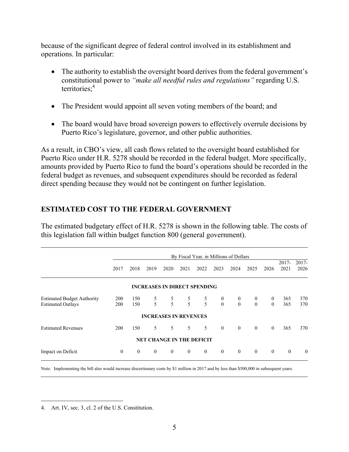because of the significant degree of federal control involved in its establishment and operations. In particular:

- The authority to establish the oversight board derives from the federal government's constitutional power to *"make all needful rules and regulations"* regarding U.S. territories: $4$
- The President would appoint all seven voting members of the board; and
- The board would have broad sovereign powers to effectively overrule decisions by Puerto Rico's legislature, governor, and other public authorities.

As a result, in CBO's view, all cash flows related to the oversight board established for Puerto Rico under H.R. 5278 should be recorded in the federal budget. More specifically, amounts provided by Puerto Rico to fund the board's operations should be recorded in the federal budget as revenues, and subsequent expenditures should be recorded as federal direct spending because they would not be contingent on further legislation.

#### **ESTIMATED COST TO THE FEDERAL GOVERNMENT**

The estimated budgetary effect of H.R. 5278 is shown in the following table. The costs of this legislation fall within budget function 800 (general government).

|                                                               | By Fiscal Year, in Millions of Dollars |              |                                     |                |               |                |                              |                              |                              |                            |                  |                  |
|---------------------------------------------------------------|----------------------------------------|--------------|-------------------------------------|----------------|---------------|----------------|------------------------------|------------------------------|------------------------------|----------------------------|------------------|------------------|
|                                                               | 2017                                   | 2018         | 2019                                | 2020           | 2021          | 2022           | 2023                         | 2024                         | 2025                         | 2026                       | $2017 -$<br>2021 | $2017 -$<br>2026 |
|                                                               |                                        |              | <b>INCREASES IN DIRECT SPENDING</b> |                |               |                |                              |                              |                              |                            |                  |                  |
| <b>Estimated Budget Authority</b><br><b>Estimated Outlays</b> | <b>200</b><br>200                      | 150<br>150   | $\frac{5}{5}$                       | $\frac{5}{5}$  | $\frac{5}{5}$ | $\frac{5}{5}$  | $\boldsymbol{0}$<br>$\Omega$ | $\boldsymbol{0}$<br>$\theta$ | $\boldsymbol{0}$<br>$\theta$ | $\overline{0}$<br>$\theta$ | 365<br>365       | 370<br>370       |
|                                                               |                                        |              | <b>INCREASES IN REVENUES</b>        |                |               |                |                              |                              |                              |                            |                  |                  |
| <b>Estimated Revenues</b>                                     | <b>200</b>                             | 150          | 5                                   | 5              | 5             | 5              | $\mathbf{0}$                 | $\mathbf{0}$                 | $\mathbf{0}$                 | $\theta$                   | 365              | 370              |
|                                                               |                                        |              | <b>NET CHANGE IN THE DEFICIT</b>    |                |               |                |                              |                              |                              |                            |                  |                  |
| Impact on Deficit                                             | $\overline{0}$                         | $\mathbf{0}$ | $\overline{0}$                      | $\overline{0}$ | $\mathbf{0}$  | $\overline{0}$ | $\overline{0}$               | $\mathbf{0}$                 | $\mathbf{0}$                 | $\overline{0}$             | $\overline{0}$   | $\mathbf{0}$     |

Note: Implementing the bill also would increase discretionary costs by \$1 million in 2017 and by less than \$500,000 in subsequent years.

4. Art. IV, sec. 3, cl. 2 of the U.S. Constitution.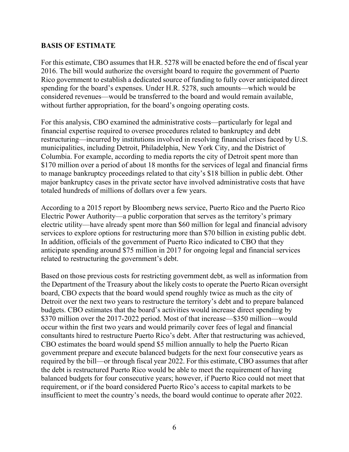#### **BASIS OF ESTIMATE**

For this estimate, CBO assumes that H.R. 5278 will be enacted before the end of fiscal year 2016. The bill would authorize the oversight board to require the government of Puerto Rico government to establish a dedicated source of funding to fully cover anticipated direct spending for the board's expenses. Under H.R. 5278, such amounts—which would be considered revenues—would be transferred to the board and would remain available, without further appropriation, for the board's ongoing operating costs.

For this analysis, CBO examined the administrative costs—particularly for legal and financial expertise required to oversee procedures related to bankruptcy and debt restructuring—incurred by institutions involved in resolving financial crises faced by U.S. municipalities, including Detroit, Philadelphia, New York City, and the District of Columbia. For example, according to media reports the city of Detroit spent more than \$170 million over a period of about 18 months for the services of legal and financial firms to manage bankruptcy proceedings related to that city's \$18 billion in public debt. Other major bankruptcy cases in the private sector have involved administrative costs that have totaled hundreds of millions of dollars over a few years.

According to a 2015 report by Bloomberg news service, Puerto Rico and the Puerto Rico Electric Power Authority—a public corporation that serves as the territory's primary electric utility—have already spent more than \$60 million for legal and financial advisory services to explore options for restructuring more than \$70 billion in existing public debt. In addition, officials of the government of Puerto Rico indicated to CBO that they anticipate spending around \$75 million in 2017 for ongoing legal and financial services related to restructuring the government's debt.

Based on those previous costs for restricting government debt, as well as information from the Department of the Treasury about the likely costs to operate the Puerto Rican oversight board, CBO expects that the board would spend roughly twice as much as the city of Detroit over the next two years to restructure the territory's debt and to prepare balanced budgets. CBO estimates that the board's activities would increase direct spending by \$370 million over the 2017-2022 period. Most of that increase—\$350 million—would occur within the first two years and would primarily cover fees of legal and financial consultants hired to restructure Puerto Rico's debt. After that restructuring was achieved, CBO estimates the board would spend \$5 million annually to help the Puerto Rican government prepare and execute balanced budgets for the next four consecutive years as required by the bill—or through fiscal year 2022. For this estimate, CBO assumes that after the debt is restructured Puerto Rico would be able to meet the requirement of having balanced budgets for four consecutive years; however, if Puerto Rico could not meet that requirement, or if the board considered Puerto Rico's access to capital markets to be insufficient to meet the country's needs, the board would continue to operate after 2022.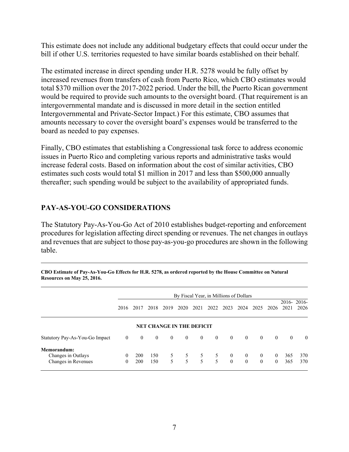This estimate does not include any additional budgetary effects that could occur under the bill if other U.S. territories requested to have similar boards established on their behalf.

The estimated increase in direct spending under H.R. 5278 would be fully offset by increased revenues from transfers of cash from Puerto Rico, which CBO estimates would total \$370 million over the 2017-2022 period. Under the bill, the Puerto Rican government would be required to provide such amounts to the oversight board. (That requirement is an intergovernmental mandate and is discussed in more detail in the section entitled Intergovernmental and Private-Sector Impact.) For this estimate, CBO assumes that amounts necessary to cover the oversight board's expenses would be transferred to the board as needed to pay expenses.

Finally, CBO estimates that establishing a Congressional task force to address economic issues in Puerto Rico and completing various reports and administrative tasks would increase federal costs. Based on information about the cost of similar activities, CBO estimates such costs would total \$1 million in 2017 and less than \$500,000 annually thereafter; such spending would be subject to the availability of appropriated funds.

#### **PAY-AS-YOU-GO CONSIDERATIONS**

The Statutory Pay-As-You-Go Act of 2010 establishes budget-reporting and enforcement procedures for legislation affecting direct spending or revenues. The net changes in outlays and revenues that are subject to those pay-as-you-go procedures are shown in the following table.

|                                                                 | By Fiscal Year, in Millions of Dollars |                   |                |                |                                  |                                 |                                                |                            |                            |                            |                            |            |                       |
|-----------------------------------------------------------------|----------------------------------------|-------------------|----------------|----------------|----------------------------------|---------------------------------|------------------------------------------------|----------------------------|----------------------------|----------------------------|----------------------------|------------|-----------------------|
|                                                                 | 2016                                   | 2017              | 2018           | 2019           | 2020                             | 2021                            | 2022                                           | 2023                       | 2024                       | 2025                       | 2026                       | 2021       | $2016 - 2016$<br>2026 |
|                                                                 |                                        |                   |                |                | <b>NET CHANGE IN THE DEFICIT</b> |                                 |                                                |                            |                            |                            |                            |            |                       |
| Statutory Pay-As-You-Go Impact                                  | $\overline{0}$                         | $\Omega$          | $\overline{0}$ | $\overline{0}$ | $\bf{0}$                         | $\bf{0}$                        | $\mathbf{0}$                                   | $\mathbf{0}$               | $\overline{0}$             | $\theta$                   | $\theta$                   | $\theta$   | $\Omega$              |
| <b>Memorandum:</b><br>Changes in Outlays<br>Changes in Revenues | 0<br>$\Omega$                          | 200<br><b>200</b> | 150<br>150     | 5<br>5         | 5 <sup>5</sup>                   | 5 <sup>5</sup><br>$\mathcal{F}$ | 5 <sup>5</sup><br>5<br>$\overline{\mathbf{5}}$ | $\overline{0}$<br>$\theta$ | $\overline{0}$<br>$\theta$ | $\overline{0}$<br>$\theta$ | $\overline{0}$<br>$\theta$ | 365<br>365 | 370<br>370            |

**CBO Estimate of Pay-As-You-Go Effects for H.R. 5278, as ordered reported by the House Committee on Natural Resources on May 25, 2016.**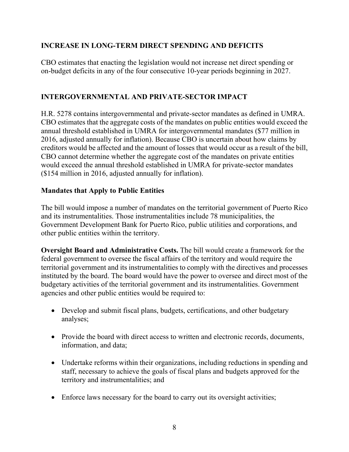#### **INCREASE IN LONG-TERM DIRECT SPENDING AND DEFICITS**

CBO estimates that enacting the legislation would not increase net direct spending or on-budget deficits in any of the four consecutive 10-year periods beginning in 2027.

#### **INTERGOVERNMENTAL AND PRIVATE-SECTOR IMPACT**

H.R. 5278 contains intergovernmental and private-sector mandates as defined in UMRA. CBO estimates that the aggregate costs of the mandates on public entities would exceed the annual threshold established in UMRA for intergovernmental mandates (\$77 million in 2016, adjusted annually for inflation). Because CBO is uncertain about how claims by creditors would be affected and the amount of losses that would occur as a result of the bill, CBO cannot determine whether the aggregate cost of the mandates on private entities would exceed the annual threshold established in UMRA for private-sector mandates (\$154 million in 2016, adjusted annually for inflation).

#### **Mandates that Apply to Public Entities**

The bill would impose a number of mandates on the territorial government of Puerto Rico and its instrumentalities. Those instrumentalities include 78 municipalities, the Government Development Bank for Puerto Rico, public utilities and corporations, and other public entities within the territory.

**Oversight Board and Administrative Costs.** The bill would create a framework for the federal government to oversee the fiscal affairs of the territory and would require the territorial government and its instrumentalities to comply with the directives and processes instituted by the board. The board would have the power to oversee and direct most of the budgetary activities of the territorial government and its instrumentalities. Government agencies and other public entities would be required to:

- Develop and submit fiscal plans, budgets, certifications, and other budgetary analyses;
- Provide the board with direct access to written and electronic records, documents, information, and data;
- Undertake reforms within their organizations, including reductions in spending and staff, necessary to achieve the goals of fiscal plans and budgets approved for the territory and instrumentalities; and
- Enforce laws necessary for the board to carry out its oversight activities;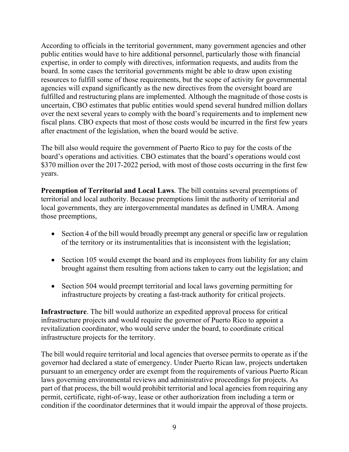According to officials in the territorial government, many government agencies and other public entities would have to hire additional personnel, particularly those with financial expertise, in order to comply with directives, information requests, and audits from the board. In some cases the territorial governments might be able to draw upon existing resources to fulfill some of those requirements, but the scope of activity for governmental agencies will expand significantly as the new directives from the oversight board are fulfilled and restructuring plans are implemented. Although the magnitude of those costs is uncertain, CBO estimates that public entities would spend several hundred million dollars over the next several years to comply with the board's requirements and to implement new fiscal plans. CBO expects that most of those costs would be incurred in the first few years after enactment of the legislation, when the board would be active.

The bill also would require the government of Puerto Rico to pay for the costs of the board's operations and activities. CBO estimates that the board's operations would cost \$370 million over the 2017-2022 period, with most of those costs occurring in the first few years.

**Preemption of Territorial and Local Laws**. The bill contains several preemptions of territorial and local authority. Because preemptions limit the authority of territorial and local governments, they are intergovernmental mandates as defined in UMRA. Among those preemptions,

- Section 4 of the bill would broadly preempt any general or specific law or regulation of the territory or its instrumentalities that is inconsistent with the legislation;
- Section 105 would exempt the board and its employees from liability for any claim brought against them resulting from actions taken to carry out the legislation; and
- Section 504 would preempt territorial and local laws governing permitting for infrastructure projects by creating a fast-track authority for critical projects.

**Infrastructure**. The bill would authorize an expedited approval process for critical infrastructure projects and would require the governor of Puerto Rico to appoint a revitalization coordinator, who would serve under the board, to coordinate critical infrastructure projects for the territory.

The bill would require territorial and local agencies that oversee permits to operate as if the governor had declared a state of emergency. Under Puerto Rican law, projects undertaken pursuant to an emergency order are exempt from the requirements of various Puerto Rican laws governing environmental reviews and administrative proceedings for projects. As part of that process, the bill would prohibit territorial and local agencies from requiring any permit, certificate, right-of-way, lease or other authorization from including a term or condition if the coordinator determines that it would impair the approval of those projects.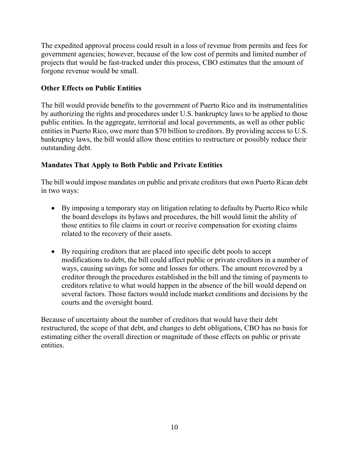The expedited approval process could result in a loss of revenue from permits and fees for government agencies; however, because of the low cost of permits and limited number of projects that would be fast-tracked under this process, CBO estimates that the amount of forgone revenue would be small.

#### **Other Effects on Public Entities**

The bill would provide benefits to the government of Puerto Rico and its instrumentalities by authorizing the rights and procedures under U.S. bankruptcy laws to be applied to those public entities. In the aggregate, territorial and local governments, as well as other public entities in Puerto Rico, owe more than \$70 billion to creditors. By providing access to U.S. bankruptcy laws, the bill would allow those entities to restructure or possibly reduce their outstanding debt.

#### **Mandates That Apply to Both Public and Private Entities**

The bill would impose mandates on public and private creditors that own Puerto Rican debt in two ways:

- By imposing a temporary stay on litigation relating to defaults by Puerto Rico while the board develops its bylaws and procedures, the bill would limit the ability of those entities to file claims in court or receive compensation for existing claims related to the recovery of their assets.
- By requiring creditors that are placed into specific debt pools to accept modifications to debt, the bill could affect public or private creditors in a number of ways, causing savings for some and losses for others. The amount recovered by a creditor through the procedures established in the bill and the timing of payments to creditors relative to what would happen in the absence of the bill would depend on several factors. Those factors would include market conditions and decisions by the courts and the oversight board.

Because of uncertainty about the number of creditors that would have their debt restructured, the scope of that debt, and changes to debt obligations, CBO has no basis for estimating either the overall direction or magnitude of those effects on public or private entities.